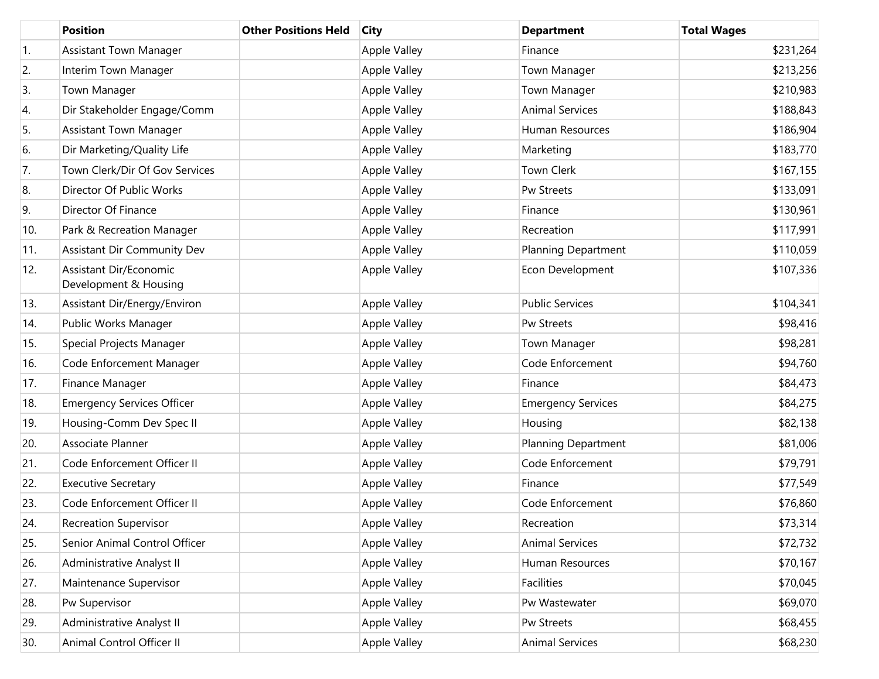|                  | <b>Position</b>                                 | <b>Other Positions Held</b> | <b>City</b>         | <b>Department</b>          | <b>Total Wages</b> |
|------------------|-------------------------------------------------|-----------------------------|---------------------|----------------------------|--------------------|
| $\overline{1}$ . | <b>Assistant Town Manager</b>                   |                             | <b>Apple Valley</b> | Finance                    | \$231,264          |
| 2.               | Interim Town Manager                            |                             | Apple Valley        | Town Manager               | \$213,256          |
| 3.               | Town Manager                                    |                             | Apple Valley        | Town Manager               | \$210,983          |
| 4.               | Dir Stakeholder Engage/Comm                     |                             | <b>Apple Valley</b> | <b>Animal Services</b>     | \$188,843          |
| 5.               | <b>Assistant Town Manager</b>                   |                             | Apple Valley        | Human Resources            | \$186,904          |
| 6.               | Dir Marketing/Quality Life                      |                             | <b>Apple Valley</b> | Marketing                  | \$183,770          |
| 7.               | Town Clerk/Dir Of Gov Services                  |                             | Apple Valley        | Town Clerk                 | \$167,155          |
| 8.               | Director Of Public Works                        |                             | <b>Apple Valley</b> | Pw Streets                 | \$133,091          |
| 9.               | Director Of Finance                             |                             | Apple Valley        | Finance                    | \$130,961          |
| 10.              | Park & Recreation Manager                       |                             | <b>Apple Valley</b> | Recreation                 | \$117,991          |
| 11.              | Assistant Dir Community Dev                     |                             | Apple Valley        | <b>Planning Department</b> | \$110,059          |
| 12.              | Assistant Dir/Economic<br>Development & Housing |                             | <b>Apple Valley</b> | Econ Development           | \$107,336          |
| 13.              | Assistant Dir/Energy/Environ                    |                             | <b>Apple Valley</b> | <b>Public Services</b>     | \$104,341          |
| 14.              | Public Works Manager                            |                             | <b>Apple Valley</b> | Pw Streets                 | \$98,416           |
| 15.              | Special Projects Manager                        |                             | <b>Apple Valley</b> | Town Manager               | \$98,281           |
| 16.              | Code Enforcement Manager                        |                             | <b>Apple Valley</b> | Code Enforcement           | \$94,760           |
| 17.              | Finance Manager                                 |                             | <b>Apple Valley</b> | Finance                    | \$84,473           |
| 18.              | <b>Emergency Services Officer</b>               |                             | <b>Apple Valley</b> | <b>Emergency Services</b>  | \$84,275           |
| 19.              | Housing-Comm Dev Spec II                        |                             | <b>Apple Valley</b> | Housing                    | \$82,138           |
| 20.              | Associate Planner                               |                             | <b>Apple Valley</b> | <b>Planning Department</b> | \$81,006           |
| 21.              | Code Enforcement Officer II                     |                             | <b>Apple Valley</b> | Code Enforcement           | \$79,791           |
| 22.              | <b>Executive Secretary</b>                      |                             | <b>Apple Valley</b> | Finance                    | \$77,549           |
| 23.              | Code Enforcement Officer II                     |                             | <b>Apple Valley</b> | Code Enforcement           | \$76,860           |
| 24.              | <b>Recreation Supervisor</b>                    |                             | <b>Apple Valley</b> | Recreation                 | \$73,314           |
| 25.              | Senior Animal Control Officer                   |                             | <b>Apple Valley</b> | <b>Animal Services</b>     | \$72,732           |
| 26.              | Administrative Analyst II                       |                             | Apple Valley        | Human Resources            | \$70,167           |
| 27.              | Maintenance Supervisor                          |                             | Apple Valley        | Facilities                 | \$70,045           |
| 28.              | Pw Supervisor                                   |                             | Apple Valley        | Pw Wastewater              | \$69,070           |
| 29.              | Administrative Analyst II                       |                             | Apple Valley        | Pw Streets                 | \$68,455           |
| 30.              | Animal Control Officer II                       |                             | Apple Valley        | <b>Animal Services</b>     | \$68,230           |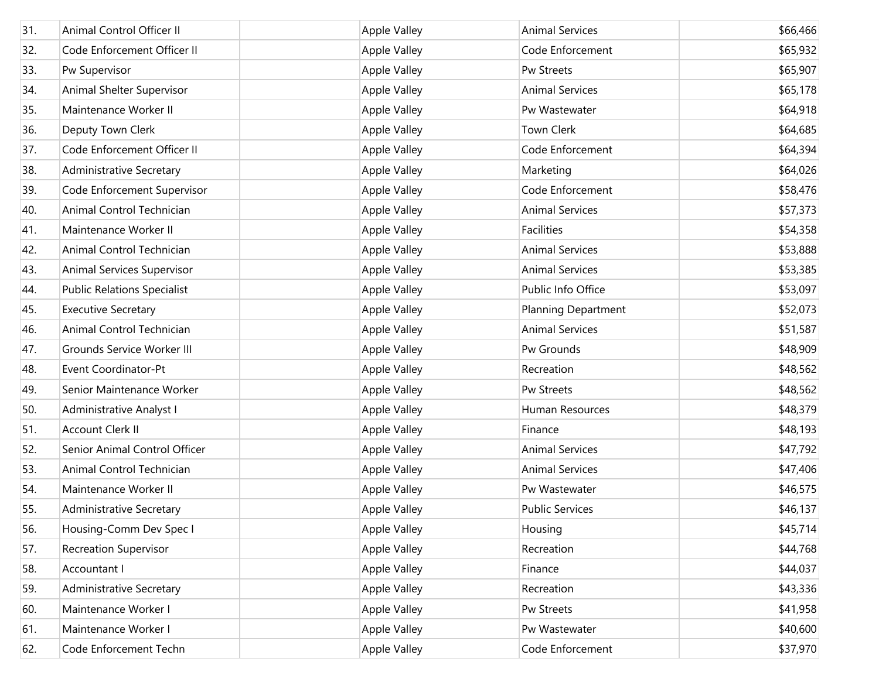| 31. | Animal Control Officer II          | <b>Apple Valley</b> | <b>Animal Services</b>     | \$66,466 |
|-----|------------------------------------|---------------------|----------------------------|----------|
| 32. | Code Enforcement Officer II        | Apple Valley        | Code Enforcement           | \$65,932 |
| 33. | Pw Supervisor                      | <b>Apple Valley</b> | Pw Streets                 | \$65,907 |
| 34. | Animal Shelter Supervisor          | <b>Apple Valley</b> | <b>Animal Services</b>     | \$65,178 |
| 35. | Maintenance Worker II              | <b>Apple Valley</b> | Pw Wastewater              | \$64,918 |
| 36. | Deputy Town Clerk                  | Apple Valley        | Town Clerk                 | \$64,685 |
| 37. | Code Enforcement Officer II        | <b>Apple Valley</b> | Code Enforcement           | \$64,394 |
| 38. | Administrative Secretary           | Apple Valley        | Marketing                  | \$64,026 |
| 39. | Code Enforcement Supervisor        | <b>Apple Valley</b> | Code Enforcement           | \$58,476 |
| 40. | Animal Control Technician          | <b>Apple Valley</b> | <b>Animal Services</b>     | \$57,373 |
| 41. | Maintenance Worker II              | <b>Apple Valley</b> | Facilities                 | \$54,358 |
| 42. | Animal Control Technician          | <b>Apple Valley</b> | <b>Animal Services</b>     | \$53,888 |
| 43. | Animal Services Supervisor         | <b>Apple Valley</b> | <b>Animal Services</b>     | \$53,385 |
| 44. | <b>Public Relations Specialist</b> | Apple Valley        | Public Info Office         | \$53,097 |
| 45. | <b>Executive Secretary</b>         | <b>Apple Valley</b> | <b>Planning Department</b> | \$52,073 |
| 46. | Animal Control Technician          | <b>Apple Valley</b> | <b>Animal Services</b>     | \$51,587 |
| 47. | Grounds Service Worker III         | <b>Apple Valley</b> | Pw Grounds                 | \$48,909 |
| 48. | Event Coordinator-Pt               | Apple Valley        | Recreation                 | \$48,562 |
| 49. | Senior Maintenance Worker          | <b>Apple Valley</b> | Pw Streets                 | \$48,562 |
| 50. | Administrative Analyst I           | <b>Apple Valley</b> | Human Resources            | \$48,379 |
| 51. | <b>Account Clerk II</b>            | <b>Apple Valley</b> | Finance                    | \$48,193 |
| 52. | Senior Animal Control Officer      | <b>Apple Valley</b> | <b>Animal Services</b>     | \$47,792 |
| 53. | Animal Control Technician          | <b>Apple Valley</b> | <b>Animal Services</b>     | \$47,406 |
| 54. | Maintenance Worker II              | Apple Valley        | Pw Wastewater              | \$46,575 |
| 55. | Administrative Secretary           | <b>Apple Valley</b> | <b>Public Services</b>     | \$46,137 |
| 56. | Housing-Comm Dev Spec I            | <b>Apple Valley</b> | Housing                    | \$45,714 |
| 57. | <b>Recreation Supervisor</b>       | Apple Valley        | Recreation                 | \$44,768 |
| 58. | Accountant I                       | Apple Valley        | Finance                    | \$44,037 |
| 59. | <b>Administrative Secretary</b>    | Apple Valley        | Recreation                 | \$43,336 |
| 60. | Maintenance Worker I               | Apple Valley        | Pw Streets                 | \$41,958 |
| 61. | Maintenance Worker I               | Apple Valley        | Pw Wastewater              | \$40,600 |
| 62. | Code Enforcement Techn             | Apple Valley        | Code Enforcement           | \$37,970 |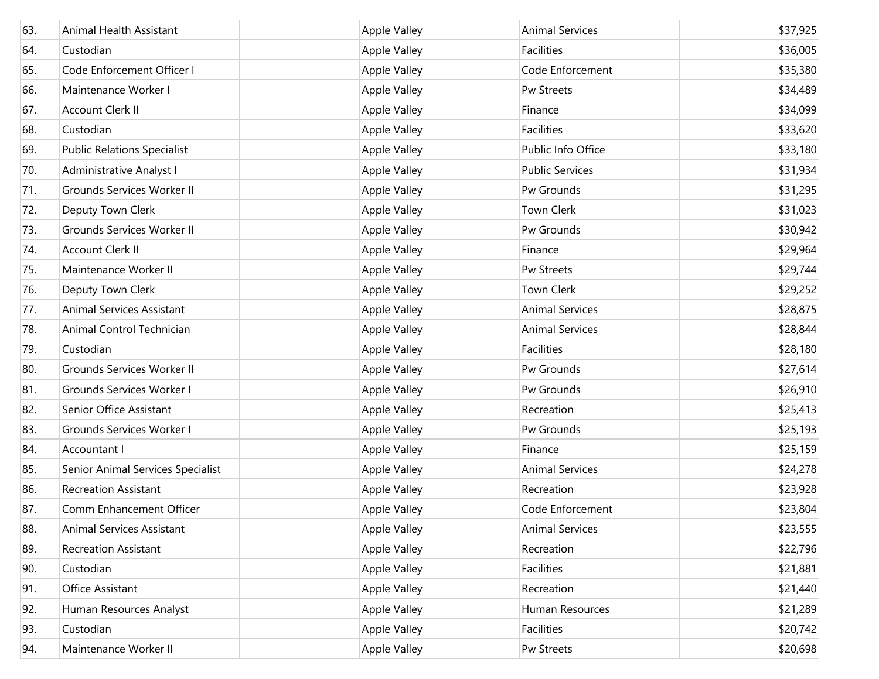| 63. | <b>Animal Health Assistant</b>     | <b>Apple Valley</b> | <b>Animal Services</b> | \$37,925 |
|-----|------------------------------------|---------------------|------------------------|----------|
| 64. | Custodian                          | Apple Valley        | Facilities             | \$36,005 |
| 65. | Code Enforcement Officer I         | Apple Valley        | Code Enforcement       | \$35,380 |
| 66. | Maintenance Worker I               | Apple Valley        | Pw Streets             | \$34,489 |
| 67. | Account Clerk II                   | Apple Valley        | Finance                | \$34,099 |
| 68. | Custodian                          | Apple Valley        | Facilities             | \$33,620 |
| 69. | <b>Public Relations Specialist</b> | Apple Valley        | Public Info Office     | \$33,180 |
| 70. | Administrative Analyst I           | Apple Valley        | <b>Public Services</b> | \$31,934 |
| 71. | Grounds Services Worker II         | Apple Valley        | Pw Grounds             | \$31,295 |
| 72. | Deputy Town Clerk                  | Apple Valley        | Town Clerk             | \$31,023 |
| 73. | Grounds Services Worker II         | Apple Valley        | Pw Grounds             | \$30,942 |
| 74. | Account Clerk II                   | Apple Valley        | Finance                | \$29,964 |
| 75. | Maintenance Worker II              | Apple Valley        | Pw Streets             | \$29,744 |
| 76. | Deputy Town Clerk                  | Apple Valley        | Town Clerk             | \$29,252 |
| 77. | Animal Services Assistant          | Apple Valley        | <b>Animal Services</b> | \$28,875 |
| 78. | Animal Control Technician          | <b>Apple Valley</b> | <b>Animal Services</b> | \$28,844 |
| 79. | Custodian                          | Apple Valley        | Facilities             | \$28,180 |
| 80. | Grounds Services Worker II         | <b>Apple Valley</b> | Pw Grounds             | \$27,614 |
| 81. | Grounds Services Worker I          | Apple Valley        | Pw Grounds             | \$26,910 |
| 82. | Senior Office Assistant            | <b>Apple Valley</b> | Recreation             | \$25,413 |
| 83. | Grounds Services Worker I          | Apple Valley        | Pw Grounds             | \$25,193 |
| 84. | Accountant I                       | <b>Apple Valley</b> | Finance                | \$25,159 |
| 85. | Senior Animal Services Specialist  | Apple Valley        | <b>Animal Services</b> | \$24,278 |
| 86. | <b>Recreation Assistant</b>        | <b>Apple Valley</b> | Recreation             | \$23,928 |
| 87. | Comm Enhancement Officer           | <b>Apple Valley</b> | Code Enforcement       | \$23,804 |
| 88. | Animal Services Assistant          | Apple Valley        | <b>Animal Services</b> | \$23,555 |
| 89. | <b>Recreation Assistant</b>        | Apple Valley        | Recreation             | \$22,796 |
| 90. | Custodian                          | Apple Valley        | Facilities             | \$21,881 |
| 91. | Office Assistant                   | Apple Valley        | Recreation             | \$21,440 |
| 92. | Human Resources Analyst            | Apple Valley        | Human Resources        | \$21,289 |
| 93. | Custodian                          | Apple Valley        | Facilities             | \$20,742 |
| 94. | Maintenance Worker II              | Apple Valley        | Pw Streets             | \$20,698 |